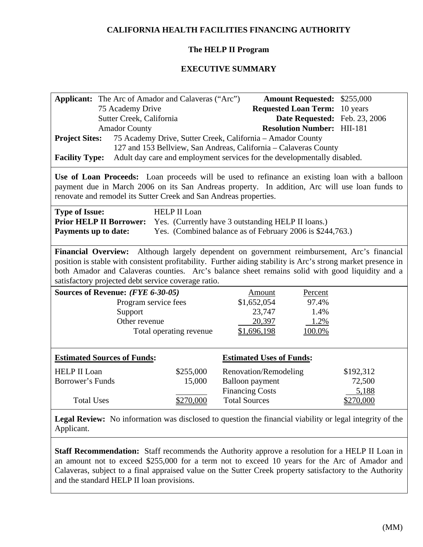# **CALIFORNIA HEALTH FACILITIES FINANCING AUTHORITY**

## **The HELP II Program**

## **EXECUTIVE SUMMARY**

| Applicant: The Arc of Amador and Calaveras ("Arc")                                                                                                                                                                                                                                                                                                                               |           |                                                                  | <b>Amount Requested: \$255,000</b> |  |  |  |
|----------------------------------------------------------------------------------------------------------------------------------------------------------------------------------------------------------------------------------------------------------------------------------------------------------------------------------------------------------------------------------|-----------|------------------------------------------------------------------|------------------------------------|--|--|--|
| 75 Academy Drive                                                                                                                                                                                                                                                                                                                                                                 |           | <b>Requested Loan Term:</b> 10 years                             |                                    |  |  |  |
| Sutter Creek, California                                                                                                                                                                                                                                                                                                                                                         |           |                                                                  | Date Requested: Feb. 23, 2006      |  |  |  |
| <b>Amador County</b>                                                                                                                                                                                                                                                                                                                                                             |           | <b>Resolution Number: HII-181</b>                                |                                    |  |  |  |
| <b>Project Sites:</b>                                                                                                                                                                                                                                                                                                                                                            |           | 75 Academy Drive, Sutter Creek, California - Amador County       |                                    |  |  |  |
|                                                                                                                                                                                                                                                                                                                                                                                  |           | 127 and 153 Bellview, San Andreas, California - Calaveras County |                                    |  |  |  |
| Adult day care and employment services for the developmentally disabled.<br><b>Facility Type:</b>                                                                                                                                                                                                                                                                                |           |                                                                  |                                    |  |  |  |
| Use of Loan Proceeds: Loan proceeds will be used to refinance an existing loan with a balloon<br>payment due in March 2006 on its San Andreas property. In addition, Arc will use loan funds to<br>renovate and remodel its Sutter Creek and San Andreas properties.                                                                                                             |           |                                                                  |                                    |  |  |  |
| <b>HELP II Loan</b><br><b>Type of Issue:</b><br><b>Prior HELP II Borrower:</b><br>Yes. (Currently have 3 outstanding HELP II loans.)<br>Yes. (Combined balance as of February 2006 is \$244,763.)<br><b>Payments up to date:</b>                                                                                                                                                 |           |                                                                  |                                    |  |  |  |
| Although largely dependent on government reimbursement, Arc's financial<br><b>Financial Overview:</b><br>position is stable with consistent profitability. Further aiding stability is Arc's strong market presence in<br>both Amador and Calaveras counties. Arc's balance sheet remains solid with good liquidity and a<br>satisfactory projected debt service coverage ratio. |           |                                                                  |                                    |  |  |  |
| Sources of Revenue: (FYE 6-30-05)                                                                                                                                                                                                                                                                                                                                                |           | Amount<br>Percent                                                |                                    |  |  |  |
| Program service fees                                                                                                                                                                                                                                                                                                                                                             |           | 97.4%<br>\$1,652,054                                             |                                    |  |  |  |
| Support                                                                                                                                                                                                                                                                                                                                                                          |           | 23,747                                                           | 1.4%                               |  |  |  |
| Other revenue                                                                                                                                                                                                                                                                                                                                                                    |           | 20,397                                                           | 1.2%                               |  |  |  |
| \$1,696,198<br>Total operating revenue<br>100.0%                                                                                                                                                                                                                                                                                                                                 |           |                                                                  |                                    |  |  |  |
| <b>Estimated Sources of Funds:</b>                                                                                                                                                                                                                                                                                                                                               |           | <b>Estimated Uses of Funds:</b>                                  |                                    |  |  |  |
| <b>HELP II Loan</b>                                                                                                                                                                                                                                                                                                                                                              | \$255,000 | Renovation/Remodeling                                            | \$192,312                          |  |  |  |
| <b>Borrower's Funds</b>                                                                                                                                                                                                                                                                                                                                                          | 15,000    | <b>Balloon</b> payment                                           | 72,500                             |  |  |  |
|                                                                                                                                                                                                                                                                                                                                                                                  |           | <b>Financing Costs</b>                                           | 5,188                              |  |  |  |
| <b>Total Uses</b>                                                                                                                                                                                                                                                                                                                                                                | \$270,000 | <b>Total Sources</b>                                             | \$270,000                          |  |  |  |
| Legal Review: No information was disclosed to question the financial viability or legal integrity of the                                                                                                                                                                                                                                                                         |           |                                                                  |                                    |  |  |  |

Applicant.

**Staff Recommendation:** Staff recommends the Authority approve a resolution for a HELP II Loan in an amount not to exceed \$255,000 for a term not to exceed 10 years for the Arc of Amador and Calaveras, subject to a final appraised value on the Sutter Creek property satisfactory to the Authority and the standard HELP II loan provisions.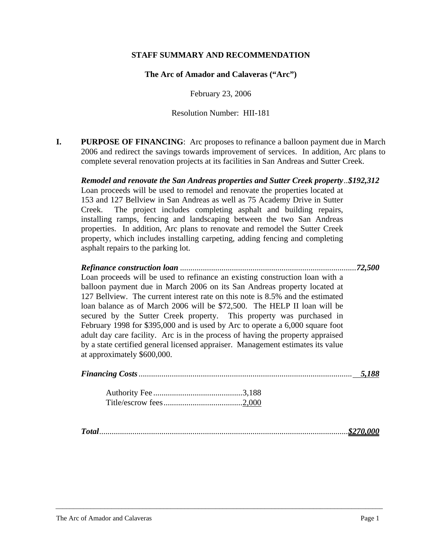#### **STAFF SUMMARY AND RECOMMENDATION**

**The Arc of Amador and Calaveras ("Arc")** 

February 23, 2006

Resolution Number: HII-181

**I. PURPOSE OF FINANCING:** Arc proposes to refinance a balloon payment due in March 2006 and redirect the savings towards improvement of services. In addition, Arc plans to complete several renovation projects at its facilities in San Andreas and Sutter Creek.

*Remodel and renovate the San Andreas properties and Sutter Creek property..\$192,312*  Loan proceeds will be used to remodel and renovate the properties located at 153 and 127 Bellview in San Andreas as well as 75 Academy Drive in Sutter Creek. The project includes completing asphalt and building repairs, installing ramps, fencing and landscaping between the two San Andreas properties. In addition, Arc plans to renovate and remodel the Sutter Creek property, which includes installing carpeting, adding fencing and completing asphalt repairs to the parking lot.

*Refinance construction loan .....................................................................................72,500* Loan proceeds will be used to refinance an existing construction loan with a balloon payment due in March 2006 on its San Andreas property located at 127 Bellview. The current interest rate on this note is 8.5% and the estimated loan balance as of March 2006 will be \$72,500. The HELP II loan will be secured by the Sutter Creek property. This property was purchased in February 1998 for \$395,000 and is used by Arc to operate a 6,000 square foot adult day care facility. Arc is in the process of having the property appraised by a state certified general licensed appraiser. Management estimates its value at approximately \$600,000.

|--|--|--|--|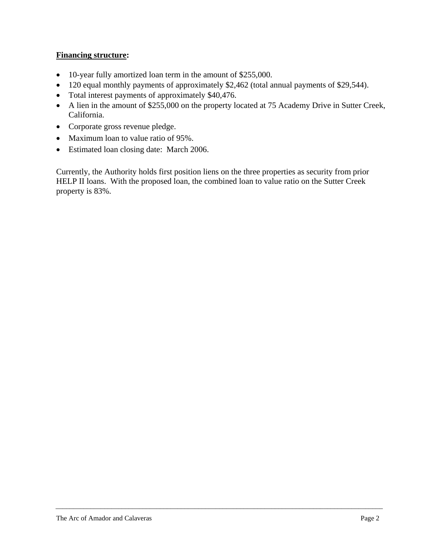# **Financing structure:**

- 10-year fully amortized loan term in the amount of \$255,000.
- 120 equal monthly payments of approximately \$2,462 (total annual payments of \$29,544).
- Total interest payments of approximately \$40,476.
- A lien in the amount of \$255,000 on the property located at 75 Academy Drive in Sutter Creek, California.
- Corporate gross revenue pledge.
- Maximum loan to value ratio of 95%.
- Estimated loan closing date: March 2006.

Currently, the Authority holds first position liens on the three properties as security from prior HELP II loans. With the proposed loan, the combined loan to value ratio on the Sutter Creek property is 83%.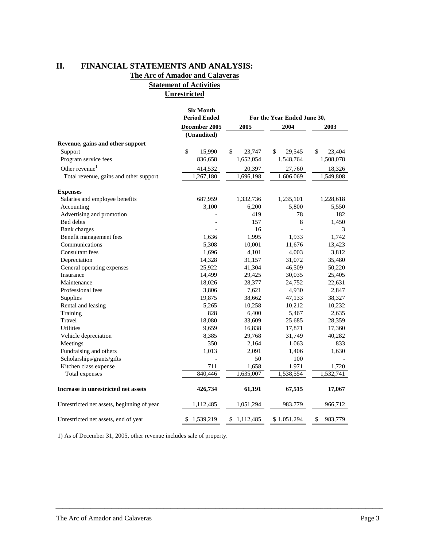#### **II. FINANCIAL STATEMENTS AND ANALYSIS: The Arc of Amador and Calaveras Statement of Activities**

**Unrestricted**

|                                            | <b>Six Month</b><br><b>Period Ended</b> |              | For the Year Ended June 30, |                         |  |
|--------------------------------------------|-----------------------------------------|--------------|-----------------------------|-------------------------|--|
|                                            | December 2005                           | 2004<br>2005 |                             | 2003                    |  |
|                                            | (Unaudited)                             |              |                             |                         |  |
| Revenue, gains and other support           |                                         |              |                             |                         |  |
| Support                                    | \$<br>15,990                            | \$<br>23,747 | $\mathbb{S}$<br>29,545      | $\mathbb{S}$<br>23,404  |  |
| Program service fees                       | 836,658                                 | 1,652,054    | 1,548,764                   | 1,508,078               |  |
| Other revenue $1$                          | 414,532                                 | 20,397       | 27,760                      | 18,326                  |  |
| Total revenue, gains and other support     | 1,267,180                               | 1,696,198    | 1,606,069                   | 1,549,808               |  |
| <b>Expenses</b>                            |                                         |              |                             |                         |  |
| Salaries and employee benefits             | 687,959                                 | 1,332,736    | 1,235,101                   | 1,228,618               |  |
| Accounting                                 | 3,100                                   | 6,200        | 5,800                       | 5,550                   |  |
| Advertising and promotion                  |                                         | 419          | 78                          | 182                     |  |
| <b>Bad debts</b>                           |                                         | 157          | 8                           | 1,450                   |  |
| Bank charges                               |                                         | 16           |                             | 3                       |  |
| Benefit management fees                    | 1,636                                   | 1,995        | 1,933                       | 1,742                   |  |
| Communications                             | 5,308                                   | 10,001       | 11,676                      | 13,423                  |  |
| Consultant fees                            | 1,696                                   | 4,101        | 4,003                       | 3,812                   |  |
| Depreciation                               | 14,328                                  | 31,157       | 31,072                      | 35,480                  |  |
| General operating expenses                 | 25,922                                  | 41,304       | 46,509                      | 50,220                  |  |
| Insurance                                  | 14,499                                  | 29,425       | 30,035                      | 25,405                  |  |
| Maintenance                                | 18,026                                  | 28,377       | 24,752                      | 22,631                  |  |
| Professional fees                          | 3,806                                   | 7,621        | 4,930                       | 2,847                   |  |
| Supplies                                   | 19,875                                  | 38,662       | 47,133                      | 38,327                  |  |
| Rental and leasing                         | 5,265                                   | 10,258       | 10,212                      | 10,232                  |  |
| Training                                   | 828                                     | 6,400        | 5,467                       | 2,635                   |  |
| Travel                                     | 18,080                                  | 33,609       | 25,685                      | 28,359                  |  |
| Utilities                                  | 9,659                                   | 16,838       | 17,871                      | 17,360                  |  |
| Vehicle depreciation                       | 8,385                                   | 29,768       | 31,749                      | 40,282                  |  |
| Meetings                                   | 350                                     | 2,164        | 1,063                       | 833                     |  |
| Fundraising and others                     | 1,013                                   | 2,091        | 1,406                       | 1,630                   |  |
| Scholarships/grants/gifts                  |                                         | 50           | 100                         |                         |  |
| Kitchen class expense                      | 711                                     | 1,658        | 1,971                       | 1,720                   |  |
| Total expenses                             | 840,446                                 | 1,635,007    | 1,538,554                   | 1,532,741               |  |
| Increase in unrestricted net assets        | 426,734                                 | 61,191       | 67,515                      | 17,067                  |  |
| Unrestricted net assets, beginning of year | 1,112,485                               | 1,051,294    | 983,779                     | 966,712                 |  |
| Unrestricted net assets, end of year       | \$1,539,219                             | \$1,112,485  | \$1,051,294                 | $\mathbb{S}$<br>983,779 |  |

\_\_\_\_\_\_\_\_\_\_\_\_\_\_\_\_\_\_\_\_\_\_\_\_\_\_\_\_\_\_\_\_\_\_\_\_\_\_\_\_\_\_\_\_\_\_\_\_\_\_\_\_\_\_\_\_\_\_\_\_\_\_\_\_\_\_\_\_\_\_\_\_\_\_\_\_\_\_\_\_\_\_\_\_\_\_\_\_\_\_\_\_\_\_

1) As of December 31, 2005, other revenue includes sale of property.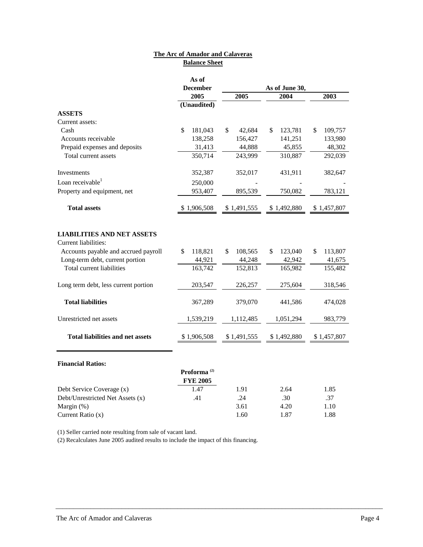#### **Balance Sheet The Arc of Amador and Calaveras**

|                                                                                                          | As of                   |               |               |               |
|----------------------------------------------------------------------------------------------------------|-------------------------|---------------|---------------|---------------|
|                                                                                                          | <b>December</b>         |               |               |               |
|                                                                                                          | 2005                    | 2005          | 2004          | 2003          |
|                                                                                                          | (Unaudited)             |               |               |               |
| <b>ASSETS</b>                                                                                            |                         |               |               |               |
| Current assets:                                                                                          |                         |               |               |               |
| Cash                                                                                                     | \$<br>181,043           | \$<br>42,684  | \$<br>123,781 | 109,757<br>\$ |
| Accounts receivable                                                                                      | 138,258                 | 156,427       | 141,251       | 133,980       |
| Prepaid expenses and deposits                                                                            | 31,413                  | 44,888        | 45,855        | 48,302        |
| Total current assets                                                                                     | 350,714                 | 243,999       | 310,887       | 292,039       |
| Investments                                                                                              | 352,387                 | 352,017       | 431,911       | 382,647       |
| Loan receivable $1$                                                                                      | 250,000                 |               |               |               |
| Property and equipment, net                                                                              | 953,407                 | 895,539       | 750,082       | 783,121       |
| <b>Total assets</b>                                                                                      | \$1,906,508             | \$1,491,555   | \$1,492,880   | \$1,457,807   |
| <b>LIABILITIES AND NET ASSETS</b><br><b>Current liabilities:</b><br>Accounts payable and accrued payroll | 118,821<br>\$           | 108,565<br>\$ | 123,040<br>\$ | \$<br>113,807 |
| Long-term debt, current portion                                                                          | 44,921                  | 44,248        | 42,942        | 41,675        |
| Total current liabilities                                                                                | 163,742                 | 152,813       | 165,982       | 155,482       |
|                                                                                                          |                         |               |               |               |
| Long term debt, less current portion                                                                     | 203,547                 | 226,257       | 275,604       | 318,546       |
| <b>Total liabilities</b>                                                                                 | 367,289                 | 379,070       | 441,586       | 474,028       |
| Unrestricted net assets                                                                                  | 1,539,219               | 1,112,485     | 1,051,294     | 983,779       |
| <b>Total liabilities and net assets</b>                                                                  | \$1,906,508             | \$1,491,555   | \$1,492,880   | \$1,457,807   |
|                                                                                                          |                         |               |               |               |
| <b>Financial Ratios:</b>                                                                                 |                         |               |               |               |
|                                                                                                          | Proforma <sup>(2)</sup> |               |               |               |
|                                                                                                          | <b>FYE 2005</b>         |               |               |               |
| Debt Service Coverage (x)                                                                                | 1.47                    | 1.91          | 2.64          | 1.85          |
| Debt/Unrestricted Net Assets (x)                                                                         | .41                     | .24           | .30           | .37           |
| Margin (%)                                                                                               |                         | 3.61          | 4.20          | 1.10          |
| Current Ratio (x)                                                                                        |                         | 1.60          | 1.87          | 1.88          |

\_\_\_\_\_\_\_\_\_\_\_\_\_\_\_\_\_\_\_\_\_\_\_\_\_\_\_\_\_\_\_\_\_\_\_\_\_\_\_\_\_\_\_\_\_\_\_\_\_\_\_\_\_\_\_\_\_\_\_\_\_\_\_\_\_\_\_\_\_\_\_\_\_\_\_\_\_\_\_\_\_\_\_\_\_\_\_\_\_\_\_\_\_\_

(1) Seller carried note resulting from sale of vacant land.

(2) Recalculates June 2005 audited results to include the impact of this financing.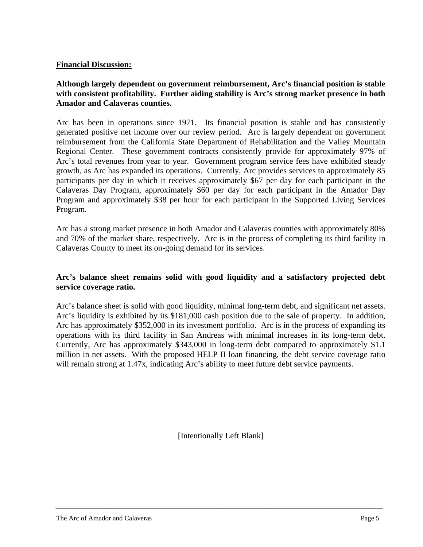## **Financial Discussion:**

# **Although largely dependent on government reimbursement, Arc's financial position is stable with consistent profitability. Further aiding stability is Arc's strong market presence in both Amador and Calaveras counties.**

Arc has been in operations since 1971. Its financial position is stable and has consistently generated positive net income over our review period. Arc is largely dependent on government reimbursement from the California State Department of Rehabilitation and the Valley Mountain Regional Center. These government contracts consistently provide for approximately 97% of Arc's total revenues from year to year. Government program service fees have exhibited steady growth, as Arc has expanded its operations. Currently, Arc provides services to approximately 85 participants per day in which it receives approximately \$67 per day for each participant in the Calaveras Day Program, approximately \$60 per day for each participant in the Amador Day Program and approximately \$38 per hour for each participant in the Supported Living Services Program.

Arc has a strong market presence in both Amador and Calaveras counties with approximately 80% and 70% of the market share, respectively. Arc is in the process of completing its third facility in Calaveras County to meet its on-going demand for its services.

## **Arc's balance sheet remains solid with good liquidity and a satisfactory projected debt service coverage ratio.**

Arc's balance sheet is solid with good liquidity, minimal long-term debt, and significant net assets. Arc's liquidity is exhibited by its \$181,000 cash position due to the sale of property. In addition, Arc has approximately \$352,000 in its investment portfolio. Arc is in the process of expanding its operations with its third facility in San Andreas with minimal increases in its long-term debt. Currently, Arc has approximately \$343,000 in long-term debt compared to approximately \$1.1 million in net assets. With the proposed HELP II loan financing, the debt service coverage ratio will remain strong at 1.47x, indicating Arc's ability to meet future debt service payments.

[Intentionally Left Blank]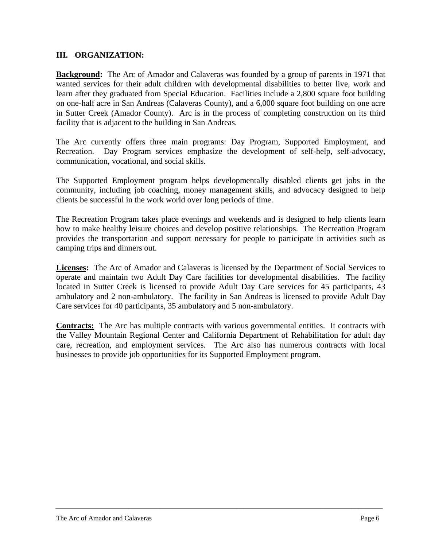## **III. ORGANIZATION:**

**Background:** The Arc of Amador and Calaveras was founded by a group of parents in 1971 that wanted services for their adult children with developmental disabilities to better live, work and learn after they graduated from Special Education. Facilities include a 2,800 square foot building on one-half acre in San Andreas (Calaveras County), and a 6,000 square foot building on one acre in Sutter Creek (Amador County). Arc is in the process of completing construction on its third facility that is adjacent to the building in San Andreas.

The Arc currently offers three main programs: Day Program, Supported Employment, and Recreation. Day Program services emphasize the development of self-help, self-advocacy, communication, vocational, and social skills.

The Supported Employment program helps developmentally disabled clients get jobs in the community, including job coaching, money management skills, and advocacy designed to help clients be successful in the work world over long periods of time.

The Recreation Program takes place evenings and weekends and is designed to help clients learn how to make healthy leisure choices and develop positive relationships. The Recreation Program provides the transportation and support necessary for people to participate in activities such as camping trips and dinners out.

**Licenses:** The Arc of Amador and Calaveras is licensed by the Department of Social Services to operate and maintain two Adult Day Care facilities for developmental disabilities. The facility located in Sutter Creek is licensed to provide Adult Day Care services for 45 participants, 43 ambulatory and 2 non-ambulatory. The facility in San Andreas is licensed to provide Adult Day Care services for 40 participants, 35 ambulatory and 5 non-ambulatory.

**Contracts:** The Arc has multiple contracts with various governmental entities. It contracts with the Valley Mountain Regional Center and California Department of Rehabilitation for adult day care, recreation, and employment services. The Arc also has numerous contracts with local businesses to provide job opportunities for its Supported Employment program.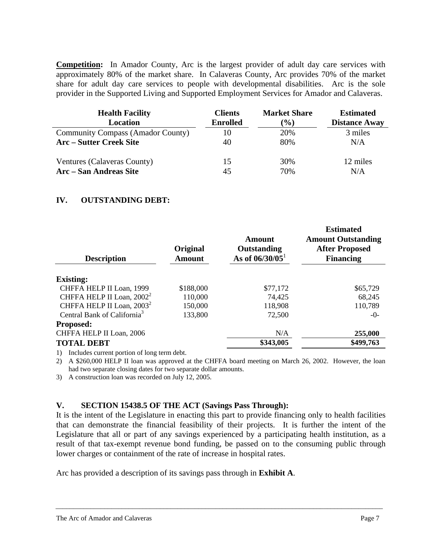**Competition:** In Amador County, Arc is the largest provider of adult day care services with approximately 80% of the market share. In Calaveras County, Arc provides 70% of the market share for adult day care services to people with developmental disabilities. Arc is the sole provider in the Supported Living and Supported Employment Services for Amador and Calaveras.

| <b>Health Facility</b><br>Location       | <b>Clients</b><br><b>Enrolled</b> | <b>Market Share</b><br>$\frac{1}{2}$ | <b>Estimated</b><br><b>Distance Away</b> |
|------------------------------------------|-----------------------------------|--------------------------------------|------------------------------------------|
| <b>Community Compass (Amador County)</b> | 10                                | 20%                                  | 3 miles                                  |
| <b>Arc</b> – Sutter Creek Site           | 40                                | 80%                                  | N/A                                      |
| Ventures (Calaveras County)              | 15                                | 30%                                  | 12 miles                                 |
| Arc – San Andreas Site                   | 45                                | 70%                                  | N/A                                      |

#### **IV. OUTSTANDING DEBT:**

| <b>Description</b>                      | Original<br><b>Amount</b> | <b>Amount</b><br>Outstanding<br>As of $06/30/05$ <sup>1</sup> | <b>Estimated</b><br><b>Amount Outstanding</b><br><b>After Proposed</b><br><b>Financing</b> |
|-----------------------------------------|---------------------------|---------------------------------------------------------------|--------------------------------------------------------------------------------------------|
| <b>Existing:</b>                        |                           |                                                               |                                                                                            |
| CHFFA HELP II Loan, 1999                | \$188,000                 | \$77,172                                                      | \$65,729                                                                                   |
|                                         |                           |                                                               |                                                                                            |
| CHFFA HELP II Loan, 2002 <sup>2</sup>   | 110,000                   | 74,425                                                        | 68,245                                                                                     |
| CHFFA HELP II Loan, 2003 <sup>2</sup>   | 150,000                   | 118,908                                                       | 110,789                                                                                    |
| Central Bank of California <sup>3</sup> | 133,800                   | 72,500                                                        | $-0-$                                                                                      |
| <b>Proposed:</b>                        |                           |                                                               |                                                                                            |
| CHFFA HELP II Loan, 2006                |                           | N/A                                                           | 255,000                                                                                    |
| <b>TOTAL DEBT</b>                       |                           | \$343,005                                                     | \$499,763                                                                                  |

1) Includes current portion of long term debt.

2) A \$260,000 HELP II loan was approved at the CHFFA board meeting on March 26, 2002. However, the loan had two separate closing dates for two separate dollar amounts.

3) A construction loan was recorded on July 12, 2005.

#### **V. SECTION 15438.5 OF THE ACT (Savings Pass Through):**

It is the intent of the Legislature in enacting this part to provide financing only to health facilities that can demonstrate the financial feasibility of their projects. It is further the intent of the Legislature that all or part of any savings experienced by a participating health institution, as a result of that tax-exempt revenue bond funding, be passed on to the consuming public through lower charges or containment of the rate of increase in hospital rates.

\_\_\_\_\_\_\_\_\_\_\_\_\_\_\_\_\_\_\_\_\_\_\_\_\_\_\_\_\_\_\_\_\_\_\_\_\_\_\_\_\_\_\_\_\_\_\_\_\_\_\_\_\_\_\_\_\_\_\_\_\_\_\_\_\_\_\_\_\_\_\_\_\_\_\_\_\_\_\_\_\_\_\_\_\_\_\_\_\_\_\_\_\_\_

Arc has provided a description of its savings pass through in **Exhibit A**.